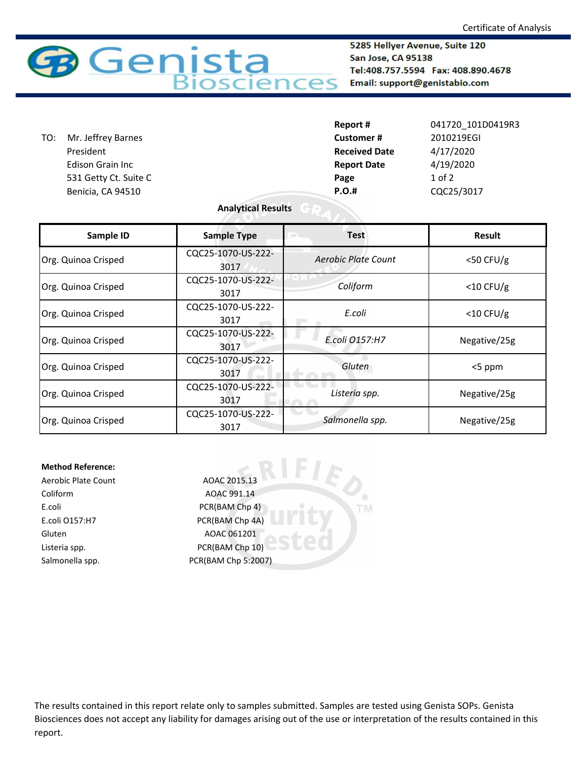

5285 Hellyer Avenue, Suite 120 San Jose, CA 95138 Tel:408.757.5594 Fax: 408.890.4678 Email: support@genistabio.com

|     |                         | Report #             | 041720 101D0419R3 |
|-----|-------------------------|----------------------|-------------------|
| TO: | Mr. Jeffrey Barnes      | <b>Customer#</b>     | 2010219EGI        |
|     | President               | <b>Received Date</b> | 4/17/2020         |
|     | <b>Edison Grain Inc</b> | <b>Report Date</b>   | 4/19/2020         |
|     | 531 Getty Ct. Suite C   | Page                 | $1$ of $2$        |
|     | Benicia, CA 94510       | <b>P.O.#</b>         | CQC25/3017        |

## **Analytical Results**

| Sample ID           | <b>Sample Type</b>         | <b>Test</b>         | <b>Result</b> |
|---------------------|----------------------------|---------------------|---------------|
| Org. Quinoa Crisped | CQC25-1070-US-222-<br>3017 | Aerobic Plate Count | $<$ 50 CFU/g  |
| Org. Quinoa Crisped | CQC25-1070-US-222-<br>3017 | Coliform            | $<$ 10 CFU/g  |
| Org. Quinoa Crisped | CQC25-1070-US-222-<br>3017 | E.coli              | $<$ 10 CFU/g  |
| Org. Quinoa Crisped | CQC25-1070-US-222-<br>3017 | E.coli 0157:H7      | Negative/25g  |
| Org. Quinoa Crisped | CQC25-1070-US-222-<br>3017 | Gluten              | <5 ppm        |
| Org. Quinoa Crisped | CQC25-1070-US-222-<br>3017 | Listeria spp.       | Negative/25g  |
| Org. Quinoa Crisped | CQC25-1070-US-222-<br>3017 | Salmonella spp.     | Negative/25g  |

**TM** 

## **Method Reference:**

Coliform AOAC 991.14 E.coli PCR(BAM Chp 4) E.coli O157:H7 PCR(BAM Chp 4A) Gluten AOAC 061201 Listeria spp. The CR(BAM Chp 10)

Aerobic Plate Count AOAC 2015.13 Salmonella spp. PCR(BAM Chp 5:2007)